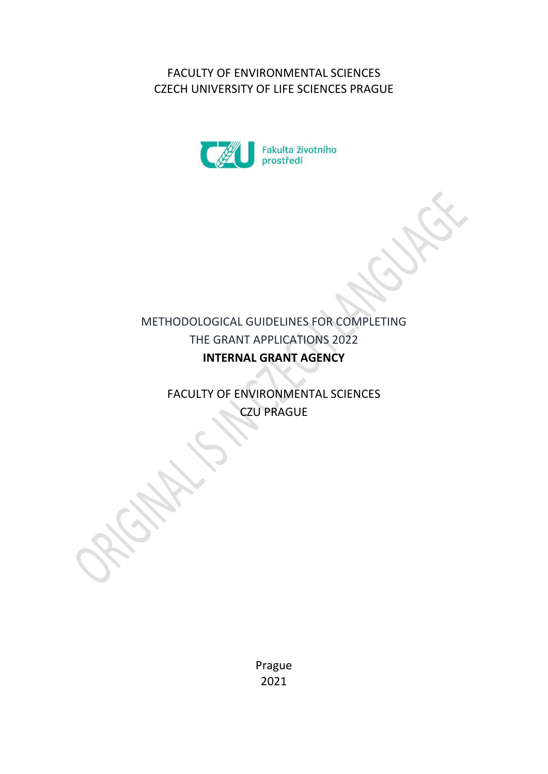FACULTY OF ENVIRONMENTAL SCIENCES CZECH UNIVERSITY OF LIFE SCIENCES PRAGUE



# METHODOLOGICAL GUIDELINES FOR COMPLETING THE GRANT APPLICATIONS 2022 **INTERNAL GRANT AGENCY**

FACULTY OF ENVIRONMENTAL SCIENCES CZU PRAGUE

> Prague 2021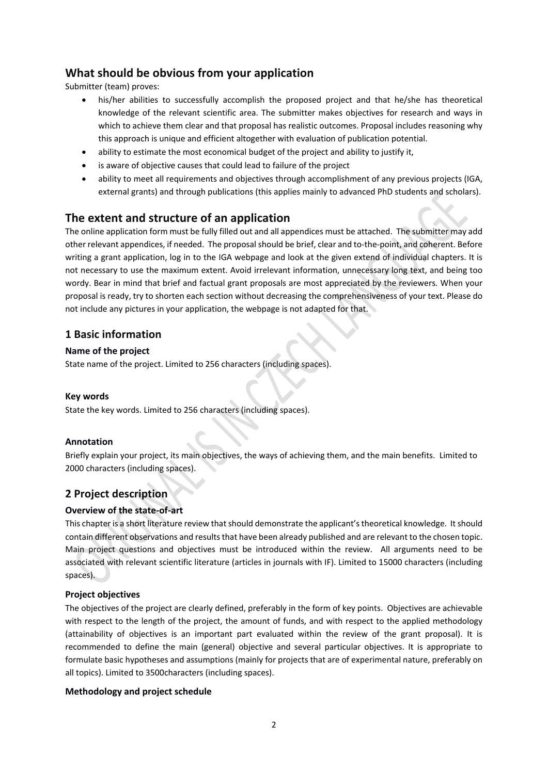# **What should be obvious from your application**

Submitter (team) proves:

- his/her abilities to successfully accomplish the proposed project and that he/she has theoretical knowledge of the relevant scientific area. The submitter makes objectives for research and ways in which to achieve them clear and that proposal has realistic outcomes. Proposal includes reasoning why this approach is unique and efficient altogether with evaluation of publication potential.
- ability to estimate the most economical budget of the project and ability to justify it,
- is aware of objective causes that could lead to failure of the project
- ability to meet all requirements and objectives through accomplishment of any previous projects (IGA, external grants) and through publications (this applies mainly to advanced PhD students and scholars).

# **The extent and structure of an application**

The online application form must be fully filled out and all appendices must be attached. The submitter may add other relevant appendices, if needed. The proposal should be brief, clear and to‐the‐point, and coherent. Before writing a grant application, log in to the IGA webpage and look at the given extend of individual chapters. It is not necessary to use the maximum extent. Avoid irrelevant information, unnecessary long text, and being too wordy. Bear in mind that brief and factual grant proposals are most appreciated by the reviewers. When your proposal is ready, try to shorten each section without decreasing the comprehensiveness of your text. Please do not include any pictures in your application, the webpage is not adapted for that.

# **1 Basic information**

# **Name of the project**

State name of the project. Limited to 256 characters (including spaces).

### **Key words**

State the key words. Limited to 256 characters (including spaces).

### **Annotation**

Briefly explain your project, its main objectives, the ways of achieving them, and the main benefits. Limited to 2000 characters (including spaces).

# **2 Project description**

# **Overview of the state‐of‐art**

This chapter is a short literature review thatshould demonstrate the applicant'stheoretical knowledge. Itshould contain different observations and results that have been already published and are relevant to the chosen topic. Main project questions and objectives must be introduced within the review. All arguments need to be associated with relevant scientific literature (articles in journals with IF). Limited to 15000 characters (including spaces).

### **Project objectives**

The objectives of the project are clearly defined, preferably in the form of key points. Objectives are achievable with respect to the length of the project, the amount of funds, and with respect to the applied methodology (attainability of objectives is an important part evaluated within the review of the grant proposal). It is recommended to define the main (general) objective and several particular objectives. It is appropriate to formulate basic hypotheses and assumptions (mainly for projects that are of experimental nature, preferably on all topics). Limited to 3500characters (including spaces).

### **Methodology and project schedule**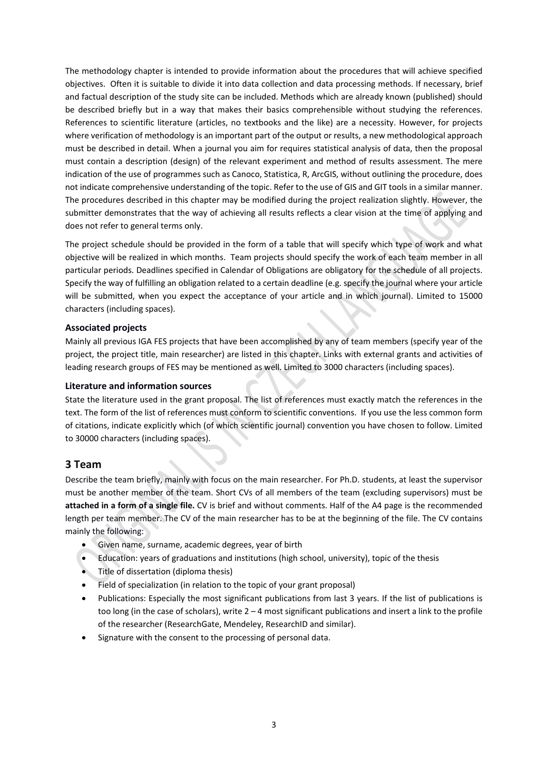The methodology chapter is intended to provide information about the procedures that will achieve specified objectives. Often it is suitable to divide it into data collection and data processing methods. If necessary, brief and factual description of the study site can be included. Methods which are already known (published) should be described briefly but in a way that makes their basics comprehensible without studying the references. References to scientific literature (articles, no textbooks and the like) are a necessity. However, for projects where verification of methodology is an important part of the output or results, a new methodological approach must be described in detail. When a journal you aim for requires statistical analysis of data, then the proposal must contain a description (design) of the relevant experiment and method of results assessment. The mere indication of the use of programmes such as Canoco, Statistica, R, ArcGIS, without outlining the procedure, does not indicate comprehensive understanding of the topic. Refer to the use of GIS and GIT tools in a similar manner. The procedures described in this chapter may be modified during the project realization slightly. However, the submitter demonstrates that the way of achieving all results reflects a clear vision at the time of applying and does not refer to general terms only.

The project schedule should be provided in the form of a table that will specify which type of work and what objective will be realized in which months. Team projects should specify the work of each team member in all particular periods. Deadlines specified in Calendar of Obligations are obligatory for the schedule of all projects. Specify the way of fulfilling an obligation related to a certain deadline (e.g. specify the journal where your article will be submitted, when you expect the acceptance of your article and in which journal). Limited to 15000 characters (including spaces).

### **Associated projects**

Mainly all previous IGA FES projects that have been accomplished by any of team members (specify year of the project, the project title, main researcher) are listed in this chapter. Links with external grants and activities of leading research groups of FES may be mentioned as well. Limited to 3000 characters (including spaces).

#### **Literature and information sources**

State the literature used in the grant proposal. The list of references must exactly match the references in the text. The form of the list of references must conform to scientific conventions. If you use the less common form of citations, indicate explicitly which (of which scientific journal) convention you have chosen to follow. Limited to 30000 characters (including spaces).

# **3 Team**

Describe the team briefly, mainly with focus on the main researcher. For Ph.D. students, at least the supervisor must be another member of the team. Short CVs of all members of the team (excluding supervisors) must be **attached in a form of a single file.** CV is brief and without comments. Half of the A4 page is the recommended length per team member. The CV of the main researcher has to be at the beginning of the file. The CV contains mainly the following:

- Given name, surname, academic degrees, year of birth
- Education: years of graduations and institutions (high school, university), topic of the thesis
- Title of dissertation (diploma thesis)
- Field of specialization (in relation to the topic of your grant proposal)
- Publications: Especially the most significant publications from last 3 years. If the list of publications is too long (in the case of scholars), write 2 – 4 most significant publications and insert a link to the profile of the researcher (ResearchGate, Mendeley, ResearchID and similar).
- Signature with the consent to the processing of personal data.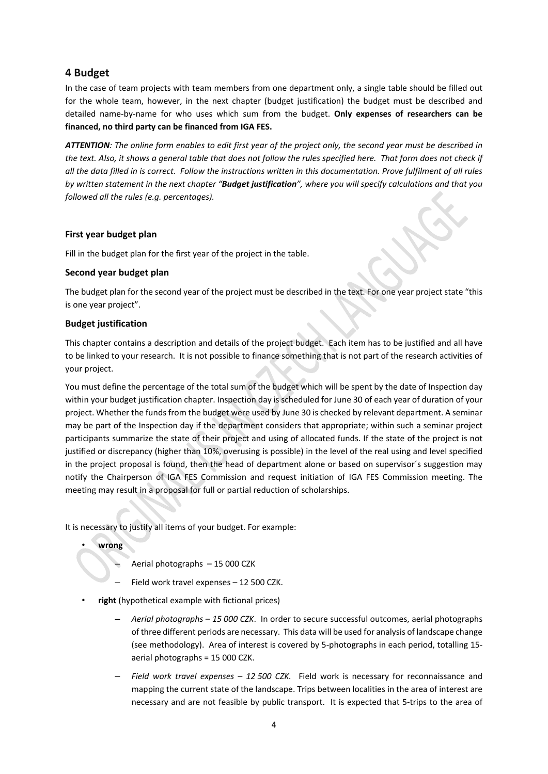# **4 Budget**

In the case of team projects with team members from one department only, a single table should be filled out for the whole team, however, in the next chapter (budget justification) the budget must be described and detailed name‐by‐name for who uses which sum from the budget. **Only expenses of researchers can be financed, no third party can be financed from IGA FES.**

ATTENTION: The online form enables to edit first year of the project only, the second year must be described in the text. Also, it shows a general table that does not follow the rules specified here. That form does not check if all the data filled in is correct. Follow the instructions written in this documentation. Prove fulfilment of all rules by written statement in the next chapter "Budget justification", where you will specify calculations and that you *followed all the rules (e.g. percentages).* 

### **First year budget plan**

Fill in the budget plan for the first year of the project in the table.

### **Second year budget plan**

The budget plan for the second year of the project must be described in the text. For one year project state "this is one year project".

#### **Budget justification**

This chapter contains a description and details of the project budget. Each item has to be justified and all have to be linked to your research. It is not possible to finance something that is not part of the research activities of your project.

You must define the percentage of the total sum of the budget which will be spent by the date of Inspection day within your budget justification chapter. Inspection day is scheduled for June 30 of each year of duration of your project. Whether the funds from the budget were used by June 30 is checked by relevant department. A seminar may be part of the Inspection day if the department considers that appropriate; within such a seminar project participants summarize the state of their project and using of allocated funds. If the state of the project is not justified or discrepancy (higher than 10%, overusing is possible) in the level of the real using and level specified in the project proposal is found, then the head of department alone or based on supervisor´s suggestion may notify the Chairperson of IGA FES Commission and request initiation of IGA FES Commission meeting. The meeting may result in a proposal for full or partial reduction of scholarships.

It is necessary to justify all items of your budget. For example:

• **wrong**

- Aerial photographs 15 000 CZK
- Field work travel expenses 12 500 CZK.
- **right** (hypothetical example with fictional prices)
	- *Aerial photographs – 15 000 CZK*. In order to secure successful outcomes, aerial photographs of three different periods are necessary. This data will be used for analysis of landscape change (see methodology). Area of interest is covered by 5‐photographs in each period, totalling 15‐ aerial photographs = 15 000 CZK.
	- *Field work travel expenses – 12 500 CZK.* Field work is necessary for reconnaissance and mapping the current state of the landscape. Trips between localities in the area of interest are necessary and are not feasible by public transport. It is expected that 5‐trips to the area of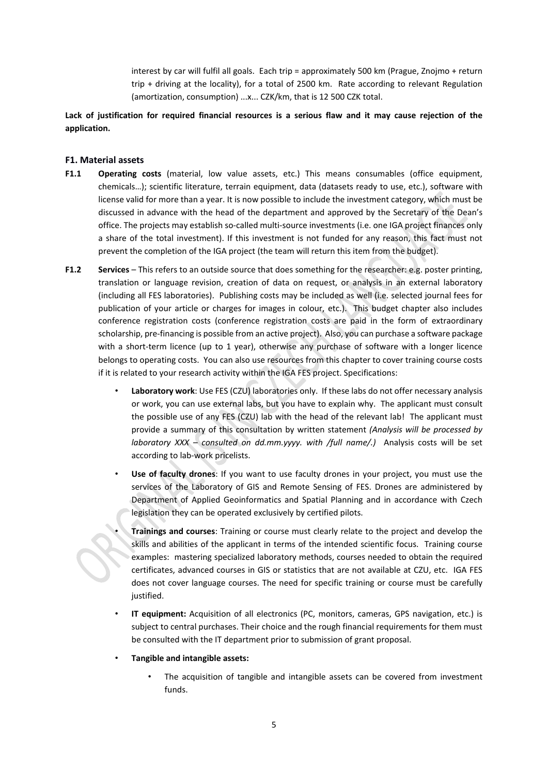interest by car will fulfil all goals. Each trip = approximately 500 km (Prague, Znojmo + return trip + driving at the locality), for a total of 2500 km. Rate according to relevant Regulation (amortization, consumption) ...x... CZK/km, that is 12 500 CZK total.

Lack of justification for required financial resources is a serious flaw and it may cause rejection of the **application.**

#### **F1. Material assets**

- **F1.1 Operating costs** (material, low value assets, etc.) This means consumables (office equipment, chemicals…); scientific literature, terrain equipment, data (datasets ready to use, etc.), software with license valid for more than a year. It is now possible to include the investment category, which must be discussed in advance with the head of the department and approved by the Secretary of the Dean's office. The projects may establish so-called multi-source investments (i.e. one IGA project finances only a share of the total investment). If this investment is not funded for any reason, this fact must not prevent the completion of the IGA project (the team will return this item from the budget).
- **F1.2 Services** This refers to an outside source that does something for the researcher: e.g. poster printing, translation or language revision, creation of data on request, or analysis in an external laboratory (including all FES laboratories). Publishing costs may be included as well (i.e. selected journal fees for publication of your article or charges for images in colour, etc.). This budget chapter also includes conference registration costs (conference registration costs are paid in the form of extraordinary scholarship, pre‐financing is possible from an active project). Also, you can purchase a software package with a short-term licence (up to 1 year), otherwise any purchase of software with a longer licence belongs to operating costs. You can also use resources from this chapter to cover training course costs if it is related to your research activity within the IGA FES project. Specifications:
	- **Laboratory work**: Use FES (CZU) laboratories only. If these labs do not offer necessary analysis or work, you can use external labs, but you have to explain why. The applicant must consult the possible use of any FES (CZU) lab with the head of the relevant lab! The applicant must provide a summary of this consultation by written statement *(Analysis will be processed by laboratory XXX – consulted on dd.mm.yyyy. with /full name/.)* Analysis costs will be set according to lab‐work pricelists.
	- **Use of faculty drones**: If you want to use faculty drones in your project, you must use the services of the Laboratory of GIS and Remote Sensing of FES. Drones are administered by Department of Applied Geoinformatics and Spatial Planning and in accordance with Czech legislation they can be operated exclusively by certified pilots.
		- **Trainings and courses**: Training or course must clearly relate to the project and develop the skills and abilities of the applicant in terms of the intended scientific focus. Training course examples: mastering specialized laboratory methods, courses needed to obtain the required certificates, advanced courses in GIS or statistics that are not available at CZU, etc. IGA FES does not cover language courses. The need for specific training or course must be carefully justified.
	- **IT equipment:** Acquisition of all electronics (PC, monitors, cameras, GPS navigation, etc.) is subject to central purchases. Their choice and the rough financial requirements for them must be consulted with the IT department prior to submission of grant proposal.
	- **Tangible and intangible assets:**
		- The acquisition of tangible and intangible assets can be covered from investment funds.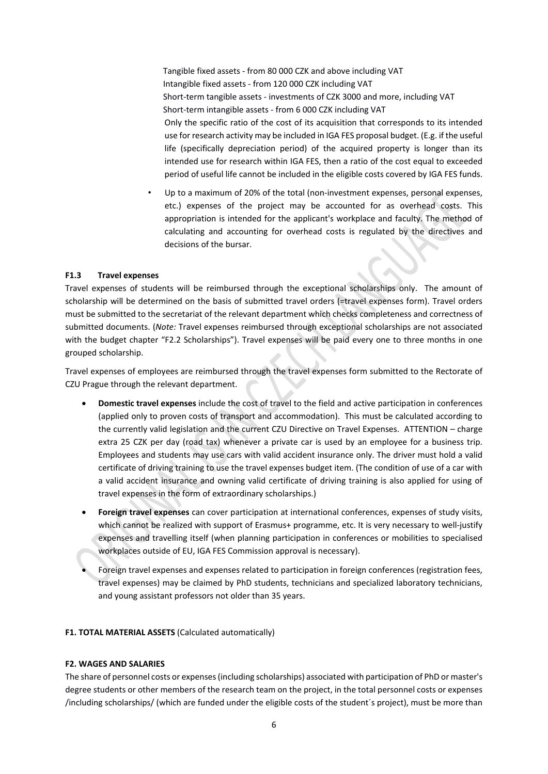Tangible fixed assets ‐ from 80 000 CZK and above including VAT Intangible fixed assets ‐ from 120 000 CZK including VAT Short-term tangible assets - investments of CZK 3000 and more, including VAT Short-term intangible assets - from 6 000 CZK including VAT Only the specific ratio of the cost of its acquisition that corresponds to its intended use for research activity may be included in IGA FES proposal budget. (E.g. if the useful life (specifically depreciation period) of the acquired property is longer than its intended use for research within IGA FES, then a ratio of the cost equal to exceeded period of useful life cannot be included in the eligible costs covered by IGA FES funds.

Up to a maximum of 20% of the total (non-investment expenses, personal expenses, etc.) expenses of the project may be accounted for as overhead costs. This appropriation is intended for the applicant's workplace and faculty. The method of calculating and accounting for overhead costs is regulated by the directives and decisions of the bursar.

#### **F1.3 Travel expenses**

Travel expenses of students will be reimbursed through the exceptional scholarships only. The amount of scholarship will be determined on the basis of submitted travel orders (=travel expenses form). Travel orders must be submitted to the secretariat of the relevant department which checks completeness and correctness of submitted documents. (*Note:* Travel expenses reimbursed through exceptional scholarships are not associated with the budget chapter "F2.2 Scholarships"). Travel expenses will be paid every one to three months in one grouped scholarship.

Travel expenses of employees are reimbursed through the travel expenses form submitted to the Rectorate of CZU Prague through the relevant department.

- **Domestic travel expenses** include the cost of travel to the field and active participation in conferences (applied only to proven costs of transport and accommodation). This must be calculated according to the currently valid legislation and the current CZU Directive on Travel Expenses. ATTENTION – charge extra 25 CZK per day (road tax) whenever a private car is used by an employee for a business trip. Employees and students may use cars with valid accident insurance only. The driver must hold a valid certificate of driving training to use the travel expenses budget item. (The condition of use of a car with a valid accident insurance and owning valid certificate of driving training is also applied for using of travel expenses in the form of extraordinary scholarships.)
- **Foreign travel expenses** can cover participation at international conferences, expenses of study visits, which cannot be realized with support of Erasmus+ programme, etc. It is very necessary to well-justify expenses and travelling itself (when planning participation in conferences or mobilities to specialised workplaces outside of EU, IGA FES Commission approval is necessary).
- Foreign travel expenses and expenses related to participation in foreign conferences (registration fees, travel expenses) may be claimed by PhD students, technicians and specialized laboratory technicians, and young assistant professors not older than 35 years.

#### **F1. TOTAL MATERIAL ASSETS** (Calculated automatically)

#### **F2. WAGES AND SALARIES**

The share of personnel costs or expenses(including scholarships) associated with participation of PhD or master's degree students or other members of the research team on the project, in the total personnel costs or expenses /including scholarships/ (which are funded under the eligible costs of the student´s project), must be more than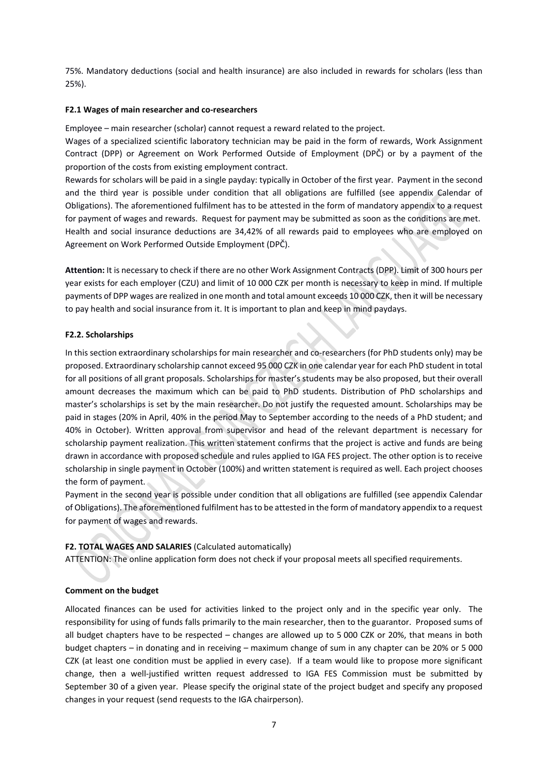75%. Mandatory deductions (social and health insurance) are also included in rewards for scholars (less than 25%).

#### **F2.1 Wages of main researcher and co‐researchers**

Employee – main researcher (scholar) cannot request a reward related to the project.

Wages of a specialized scientific laboratory technician may be paid in the form of rewards, Work Assignment Contract (DPP) or Agreement on Work Performed Outside of Employment (DPČ) or by a payment of the proportion of the costs from existing employment contract.

Rewards for scholars will be paid in a single payday: typically in October of the first year. Payment in the second and the third year is possible under condition that all obligations are fulfilled (see appendix Calendar of Obligations). The aforementioned fulfilment has to be attested in the form of mandatory appendix to a request for payment of wages and rewards. Request for payment may be submitted as soon as the conditions are met. Health and social insurance deductions are 34,42% of all rewards paid to employees who are employed on Agreement on Work Performed Outside Employment (DPČ).

**Attention:** It is necessary to check if there are no other Work Assignment Contracts (DPP). Limit of 300 hours per year exists for each employer (CZU) and limit of 10 000 CZK per month is necessary to keep in mind. If multiple payments of DPP wages are realized in one month and total amount exceeds 10 000 CZK, then it will be necessary to pay health and social insurance from it. It is important to plan and keep in mind paydays.

#### **F2.2. Scholarships**

In this section extraordinary scholarships for main researcher and co-researchers (for PhD students only) may be proposed. Extraordinary scholarship cannot exceed 95 000 CZK in one calendar year for each PhD student in total for all positions of all grant proposals. Scholarships for master's students may be also proposed, but their overall amount decreases the maximum which can be paid to PhD students. Distribution of PhD scholarships and master's scholarships is set by the main researcher. Do not justify the requested amount. Scholarships may be paid in stages (20% in April, 40% in the period May to September according to the needs of a PhD student; and 40% in October). Written approval from supervisor and head of the relevant department is necessary for scholarship payment realization. This written statement confirms that the project is active and funds are being drawn in accordance with proposed schedule and rules applied to IGA FES project. The other option is to receive scholarship in single payment in October (100%) and written statement is required as well. Each project chooses the form of payment.

Payment in the second year is possible under condition that all obligations are fulfilled (see appendix Calendar of Obligations). The aforementioned fulfilment hasto be attested in the form of mandatory appendix to a request for payment of wages and rewards.

### **F2. TOTAL WAGES AND SALARIES** (Calculated automatically)

ATTENTION: The online application form does not check if your proposal meets all specified requirements.

#### **Comment on the budget**

Allocated finances can be used for activities linked to the project only and in the specific year only. The responsibility for using of funds falls primarily to the main researcher, then to the guarantor. Proposed sums of all budget chapters have to be respected – changes are allowed up to 5 000 CZK or 20%, that means in both budget chapters – in donating and in receiving – maximum change of sum in any chapter can be 20% or 5 000 CZK (at least one condition must be applied in every case). If a team would like to propose more significant change, then a well‐justified written request addressed to IGA FES Commission must be submitted by September 30 of a given year. Please specify the original state of the project budget and specify any proposed changes in your request (send requests to the IGA chairperson).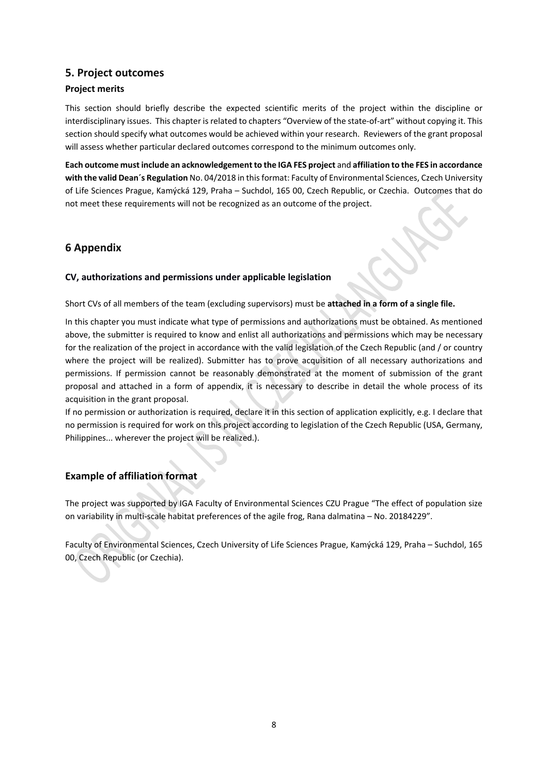# **5. Project outcomes**

#### **Project merits**

This section should briefly describe the expected scientific merits of the project within the discipline or interdisciplinary issues. This chapter is related to chapters "Overview of the state‐of‐art" without copying it. This section should specify what outcomes would be achieved within your research. Reviewers of the grant proposal will assess whether particular declared outcomes correspond to the minimum outcomes only.

**Each outcome must include an acknowledgementto the IGA FES project** and **affiliation to the FES in accordance with the valid Dean´s Regulation** No. 04/2018 in thisformat: Faculty of Environmental Sciences, Czech University of Life Sciences Prague, Kamýcká 129, Praha – Suchdol, 165 00, Czech Republic, or Czechia. Outcomes that do not meet these requirements will not be recognized as an outcome of the project.

# **6 Appendix**

#### **CV, authorizations and permissions under applicable legislation**

Short CVs of all members of the team (excluding supervisors) must be **attached in a form of a single file.**

In this chapter you must indicate what type of permissions and authorizations must be obtained. As mentioned above, the submitter is required to know and enlist all authorizations and permissions which may be necessary for the realization of the project in accordance with the valid legislation of the Czech Republic (and / or country where the project will be realized). Submitter has to prove acquisition of all necessary authorizations and permissions. If permission cannot be reasonably demonstrated at the moment of submission of the grant proposal and attached in a form of appendix, it is necessary to describe in detail the whole process of its acquisition in the grant proposal.

If no permission or authorization is required, declare it in this section of application explicitly, e.g. I declare that no permission is required for work on this project according to legislation of the Czech Republic (USA, Germany, Philippines... wherever the project will be realized.).

# **Example of affiliation format**

The project was supported by IGA Faculty of Environmental Sciences CZU Prague "The effect of population size on variability in multi‐scale habitat preferences of the agile frog, Rana dalmatina – No. 20184229".

Faculty of Environmental Sciences, Czech University of Life Sciences Prague, Kamýcká 129, Praha – Suchdol, 165 00, Czech Republic (or Czechia).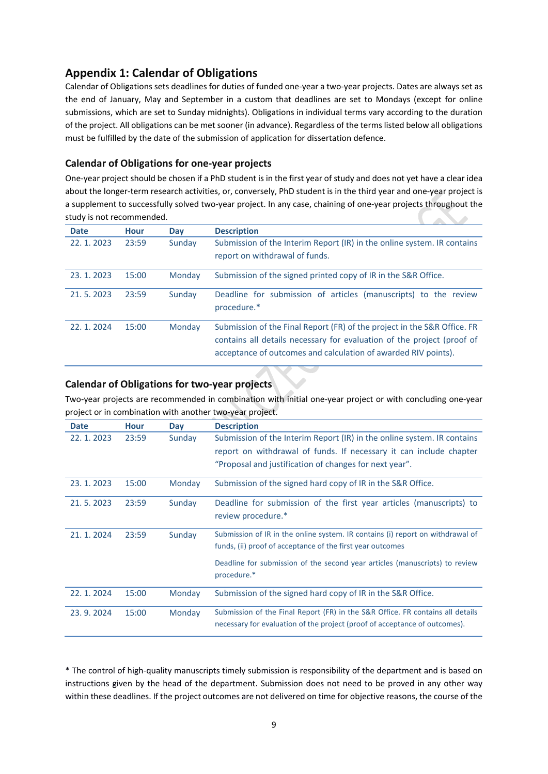# **Appendix 1: Calendar of Obligations**

Calendar of Obligations sets deadlines for duties of funded one‐year a two‐year projects. Dates are always set as the end of January, May and September in a custom that deadlines are set to Mondays (except for online submissions, which are set to Sunday midnights). Obligations in individual terms vary according to the duration of the project. All obligations can be met sooner (in advance). Regardless of the terms listed below all obligations must be fulfilled by the date of the submission of application for dissertation defence.

# **Calendar of Obligations for one‐year projects**

One‐year project should be chosen if a PhD student is in the first year of study and does not yet have a clear idea about the longer-term research activities, or, conversely, PhD student is in the third year and one-year project is a supplement to successfully solved two-year project. In any case, chaining of one-year projects throughout the study is not recommended.  $\Delta \mathbf{R}$ 

| <b>Date</b> | <b>Hour</b> | Day    | <b>Description</b>                                                                                                                                                                                                   |
|-------------|-------------|--------|----------------------------------------------------------------------------------------------------------------------------------------------------------------------------------------------------------------------|
| 22.1.2023   | 23:59       | Sunday | Submission of the Interim Report (IR) in the online system. IR contains<br>report on withdrawal of funds.                                                                                                            |
| 23.1.2023   | 15:00       | Monday | Submission of the signed printed copy of IR in the S&R Office.                                                                                                                                                       |
| 21.5.2023   | 23:59       | Sunday | Deadline for submission of articles (manuscripts) to the review<br>procedure.*                                                                                                                                       |
| 22.1.2024   | 15:00       | Monday | Submission of the Final Report (FR) of the project in the S&R Office. FR<br>contains all details necessary for evaluation of the project (proof of<br>acceptance of outcomes and calculation of awarded RIV points). |

## **Calendar of Obligations for two‐year projects**

Two‐year projects are recommended in combination with initial one‐year project or with concluding one‐year project or in combination with another two‐year project.

| <b>Date</b> | <b>Hour</b> | Day    | <b>Description</b>                                                             |
|-------------|-------------|--------|--------------------------------------------------------------------------------|
| 22.1.2023   | 23:59       | Sunday | Submission of the Interim Report (IR) in the online system. IR contains        |
|             |             |        | report on withdrawal of funds. If necessary it can include chapter             |
|             |             |        | "Proposal and justification of changes for next year".                         |
| 23.1.2023   | 15:00       | Monday | Submission of the signed hard copy of IR in the S&R Office.                    |
| 21.5.2023   | 23:59       | Sunday | Deadline for submission of the first year articles (manuscripts) to            |
|             |             |        | review procedure.*                                                             |
| 21.1.2024   | 23:59       | Sunday | Submission of IR in the online system. IR contains (i) report on withdrawal of |
|             |             |        | funds, (ii) proof of acceptance of the first year outcomes                     |
|             |             |        | Deadline for submission of the second year articles (manuscripts) to review    |
|             |             |        | procedure.*                                                                    |
| 22.1.2024   | 15:00       | Monday | Submission of the signed hard copy of IR in the S&R Office.                    |
|             |             |        |                                                                                |
| 23.9.2024   | 15:00       | Monday | Submission of the Final Report (FR) in the S&R Office. FR contains all details |
|             |             |        | necessary for evaluation of the project (proof of acceptance of outcomes).     |

\* The control of high‐quality manuscripts timely submission is responsibility of the department and is based on instructions given by the head of the department. Submission does not need to be proved in any other way within these deadlines. If the project outcomes are not delivered on time for objective reasons, the course of the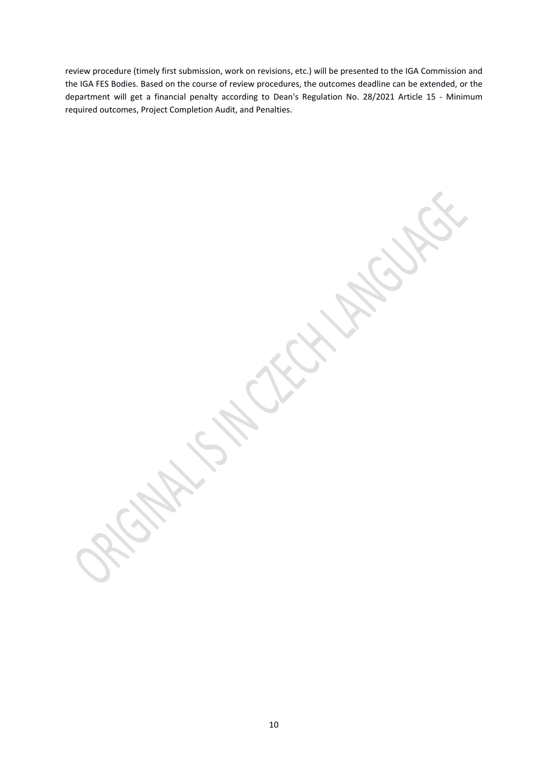review procedure (timely first submission, work on revisions, etc.) will be presented to the IGA Commission and the IGA FES Bodies. Based on the course of review procedures, the outcomes deadline can be extended, or the department will get a financial penalty according to Dean's Regulation No. 28/2021 Article 15 - Minimum required outcomes, Project Completion Audit, and Penalties.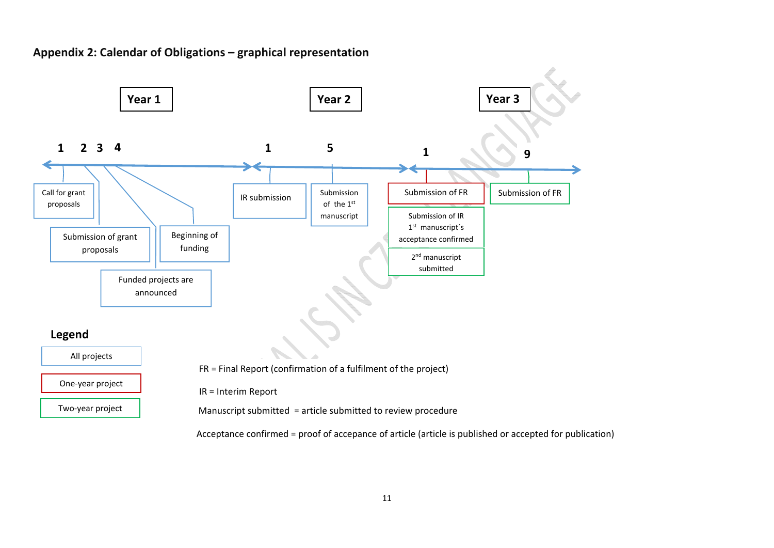# **Appendix 2: Calendar of Obligations – graphical representation**



11